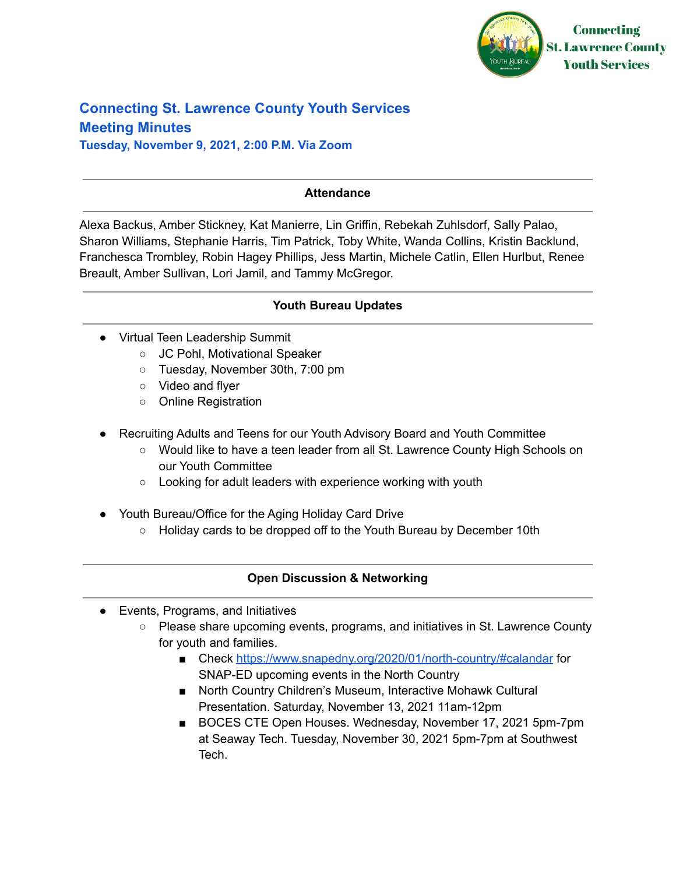

# **Connecting St. Lawrence County Youth Services Meeting Minutes**

**Tuesday, November 9, 2021, 2:00 P.M. Via Zoom**

## **Attendance**

Alexa Backus, Amber Stickney, Kat Manierre, Lin Griffin, Rebekah Zuhlsdorf, Sally Palao, Sharon Williams, Stephanie Harris, Tim Patrick, Toby White, Wanda Collins, Kristin Backlund, Franchesca Trombley, Robin Hagey Phillips, Jess Martin, Michele Catlin, Ellen Hurlbut, Renee Breault, Amber Sullivan, Lori Jamil, and Tammy McGregor.

## **Youth Bureau Updates**

- Virtual Teen Leadership Summit
	- JC Pohl, Motivational Speaker
	- Tuesday, November 30th, 7:00 pm
	- Video and flyer
	- Online Registration
- Recruiting Adults and Teens for our Youth Advisory Board and Youth Committee
	- Would like to have a teen leader from all St. Lawrence County High Schools on our Youth Committee
	- Looking for adult leaders with experience working with youth
- Youth Bureau/Office for the Aging Holiday Card Drive
	- Holiday cards to be dropped off to the Youth Bureau by December 10th

## **Open Discussion & Networking**

- Events, Programs, and Initiatives
	- Please share upcoming events, programs, and initiatives in St. Lawrence County for youth and families.
		- Check <https://www.snapedny.org/2020/01/north-country/#calandar> for SNAP-ED upcoming events in the North Country
		- North Country Children's Museum, Interactive Mohawk Cultural Presentation. Saturday, November 13, 2021 11am-12pm
		- BOCES CTE Open Houses. Wednesday, November 17, 2021 5pm-7pm at Seaway Tech. Tuesday, November 30, 2021 5pm-7pm at Southwest **Tech**